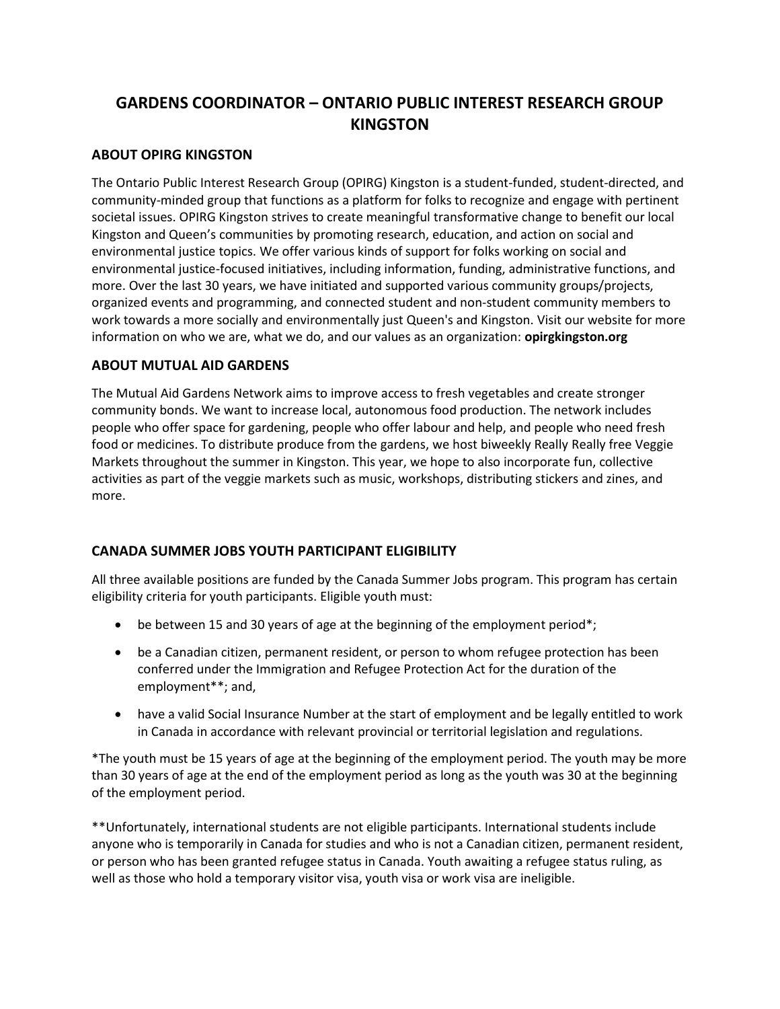# **GARDENS COORDINATOR – ONTARIO PUBLIC INTEREST RESEARCH GROUP KINGSTON**

### **ABOUT OPIRG KINGSTON**

The Ontario Public Interest Research Group (OPIRG) Kingston is a student-funded, student-directed, and community-minded group that functions as a platform for folks to recognize and engage with pertinent societal issues. OPIRG Kingston strives to create meaningful transformative change to benefit our local Kingston and Queen's communities by promoting research, education, and action on social and environmental justice topics. We offer various kinds of support for folks working on social and environmental justice-focused initiatives, including information, funding, administrative functions, and more. Over the last 30 years, we have initiated and supported various community groups/projects, organized events and programming, and connected student and non-student community members to work towards a more socially and environmentally just Queen's and Kingston. Visit our website for more information on who we are, what we do, and our values as an organization: **opirgkingston.org**

#### **ABOUT MUTUAL AID GARDENS**

The Mutual Aid Gardens Network aims to improve access to fresh vegetables and create stronger community bonds. We want to increase local, autonomous food production. The network includes people who offer space for gardening, people who offer labour and help, and people who need fresh food or medicines. To distribute produce from the gardens, we host biweekly Really Really free Veggie Markets throughout the summer in Kingston. This year, we hope to also incorporate fun, collective activities as part of the veggie markets such as music, workshops, distributing stickers and zines, and more.

### **CANADA SUMMER JOBS YOUTH PARTICIPANT ELIGIBILITY**

All three available positions are funded by the Canada Summer Jobs program. This program has certain eligibility criteria for youth participants. Eligible youth must:

- be between 15 and 30 years of age at the beginning of the employment period\*;
- be a Canadian citizen, permanent resident, or person to whom refugee protection has been conferred under the Immigration and Refugee Protection Act for the duration of the employment\*\*; and,
- have a valid Social Insurance Number at the start of employment and be legally entitled to work in Canada in accordance with relevant provincial or territorial legislation and regulations.

\*The youth must be 15 years of age at the beginning of the employment period. The youth may be more than 30 years of age at the end of the employment period as long as the youth was 30 at the beginning of the employment period.

\*\*Unfortunately, international students are not eligible participants. International students include anyone who is temporarily in Canada for studies and who is not a Canadian citizen, permanent resident, or person who has been granted refugee status in Canada. Youth awaiting a refugee status ruling, as well as those who hold a temporary visitor visa, youth visa or work visa are ineligible.